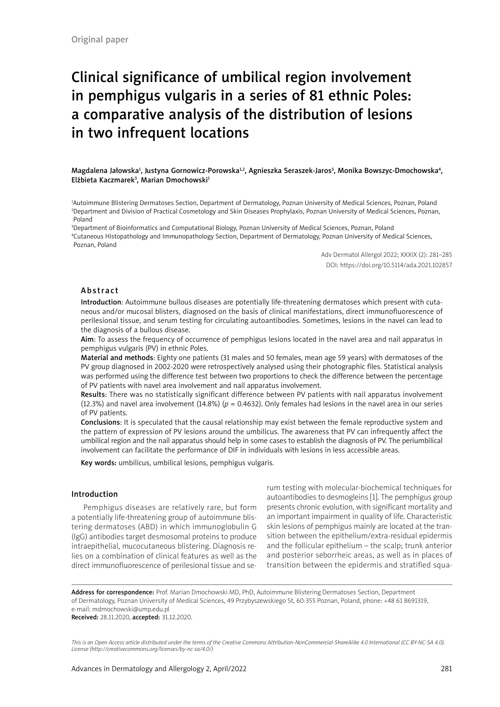# Clinical significance of umbilical region involvement in pemphigus vulgaris in a series of 81 ethnic Poles: a comparative analysis of the distribution of lesions in two infrequent locations

Magdalena Jałowska<sup>1</sup>, Justyna Gornowicz-Porowska<sup>1,2</sup>, Agnieszka Seraszek-Jaros<sup>3</sup>, Monika Bowszyc-Dmochowska<sup>4</sup>, Elżbieta Kaczmarek<sup>3</sup>, Marian Dmochowski<sup>1</sup>

1 Autoimmune Blistering Dermatoses Section, Department of Dermatology, Poznan University of Medical Sciences, Poznan, Poland 2 Department and Division of Practical Cosmetology and Skin Diseases Prophylaxis, Poznan University of Medical Sciences, Poznan, Poland

3 Department of Bioinformatics and Computational Biology, Poznan University of Medical Sciences, Poznan, Poland 4 Cutaneous Histopathology and Immunopathology Section, Department of Dermatology, Poznan University of Medical Sciences, Poznan, Poland

> Adv Dermatol Allergol 2022; XXXIX (2): 281–285 DOI: https://doi.org/10.5114/ada.2021.102857

### Abstract

Introduction: Autoimmune bullous diseases are potentially life-threatening dermatoses which present with cutaneous and/or mucosal blisters, diagnosed on the basis of clinical manifestations, direct immunofluorescence of perilesional tissue, and serum testing for circulating autoantibodies. Sometimes, lesions in the navel can lead to the diagnosis of a bullous disease.

Aim: To assess the frequency of occurrence of pemphigus lesions located in the navel area and nail apparatus in pemphigus vulgaris (PV) in ethnic Poles.

Material and methods: Eighty one patients (31 males and 50 females, mean age 59 years) with dermatoses of the PV group diagnosed in 2002-2020 were retrospectively analysed using their photographic files. Statistical analysis was performed using the difference test between two proportions to check the difference between the percentage of PV patients with navel area involvement and nail apparatus involvement.

Results: There was no statistically significant difference between PV patients with nail apparatus involvement (12.3%) and navel area involvement (14.8%) (*p* = 0.4632). Only females had lesions in the navel area in our series of PV patients.

Conclusions: It is speculated that the causal relationship may exist between the female reproductive system and the pattern of expression of PV lesions around the umbilicus. The awareness that PV can infrequently affect the umbilical region and the nail apparatus should help in some cases to establish the diagnosis of PV. The periumbilical involvement can facilitate the performance of DIF in individuals with lesions in less accessible areas.

Key words: umbilicus, umbilical lesions, pemphigus vulgaris.

#### Introduction

Pemphigus diseases are relatively rare, but form a potentially life-threatening group of autoimmune blistering dermatoses (ABD) in which immunoglobulin G (IgG) antibodies target desmosomal proteins to produce intraepithelial, mucocutaneous blistering. Diagnosis relies on a combination of clinical features as well as the direct immunofluorescence of perilesional tissue and serum testing with molecular-biochemical techniques for autoantibodies to desmogleins [1]. The pemphigus group presents chronic evolution, with significant mortality and an important impairment in quality of life. Characteristic skin lesions of pemphigus mainly are located at the transition between the epithelium/extra-residual epidermis and the follicular epithelium – the scalp; trunk anterior and posterior seborrheic areas, as well as in places of transition between the epidermis and stratified squa-

Address for correspondence: Prof. Marian Dmochowski MD, PhD, Autoimmune Blistering Dermatoses Section, Department of Dermatology, Poznan University of Medical Sciences, 49 Przybyszewskiego St, 60-355 Poznan, Poland, phone: +48 61 8691319, e-mail: mdmochowski@ump.edu.pl

Received: 28.11.2020, accepted: 31.12.2020.

*This is an Open Access article distributed under the terms of the Creative Commons Attribution-NonCommercial-ShareAlike 4.0 International (CC BY-NC-SA 4.0). License (http://creativecommons.org/licenses/by-nc-sa/4.0/)*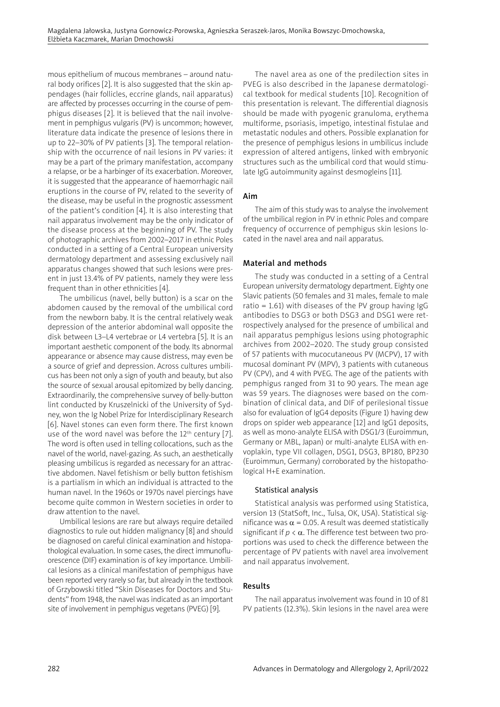mous epithelium of mucous membranes – around natural body orifices [2]. It is also suggested that the skin appendages (hair follicles, eccrine glands, nail apparatus) are affected by processes occurring in the course of pemphigus diseases [2]. It is believed that the nail involvement in pemphigus vulgaris (PV) is uncommon; however, literature data indicate the presence of lesions there in up to 22–30% of PV patients [3]. The temporal relationship with the occurrence of nail lesions in PV varies: it may be a part of the primary manifestation, accompany a relapse, or be a harbinger of its exacerbation. Moreover, it is suggested that the appearance of haemorrhagic nail eruptions in the course of PV, related to the severity of the disease, may be useful in the prognostic assessment of the patient's condition [4]. It is also interesting that nail apparatus involvement may be the only indicator of the disease process at the beginning of PV. The study of photographic archives from 2002–2017 in ethnic Poles conducted in a setting of a Central European university dermatology department and assessing exclusively nail apparatus changes showed that such lesions were present in just 13.4% of PV patients, namely they were less frequent than in other ethnicities [4].

The umbilicus (navel, belly button) is a scar on the abdomen caused by the removal of the umbilical cord from the newborn baby. It is the central relatively weak depression of the anterior abdominal wall opposite the disk between L3–L4 vertebrae or L4 vertebra [5]. It is an important aesthetic component of the body. Its abnormal appearance or absence may cause distress, may even be a source of grief and depression. Across cultures umbilicus has been not only a sign of youth and beauty, but also the source of sexual arousal epitomized by belly dancing. Extraordinarily, the comprehensive survey of belly-button lint conducted by Kruszelnicki of the University of Sydney, won the Ig Nobel Prize for Interdisciplinary Research [6]. Navel stones can even form there. The first known use of the word navel was before the  $12<sup>th</sup>$  century [7]. The word is often used in telling collocations, such as the navel of the world, navel-gazing. As such, an aesthetically pleasing umbilicus is regarded as necessary for an attractive abdomen. Navel fetishism or belly button fetishism is a partialism in which an individual is attracted to the human navel. In the 1960s or 1970s navel piercings have become quite common in Western societies in order to draw attention to the navel.

Umbilical lesions are rare but always require detailed diagnostics to rule out hidden malignancy [8] and should be diagnosed on careful clinical examination and histopathological evaluation. In some cases, the direct immunofluorescence (DIF) examination is of key importance. Umbilical lesions as a clinical manifestation of pemphigus have been reported very rarely so far, but already in the textbook of Grzybowski titled "Skin Diseases for Doctors and Students" from 1948, the navel was indicated as an important site of involvement in pemphigus vegetans (PVEG) [9].

The navel area as one of the predilection sites in PVEG is also described in the Japanese dermatological textbook for medical students [10]. Recognition of this presentation is relevant. The differential diagnosis should be made with pyogenic granuloma, erythema multiforme, psoriasis, impetigo, intestinal fistulae and metastatic nodules and others. Possible explanation for the presence of pemphigus lesions in umbilicus include expression of altered antigens, linked with embryonic structures such as the umbilical cord that would stimulate IgG autoimmunity against desmogleins [11].

## Aim

The aim of this study was to analyse the involvement of the umbilical region in PV in ethnic Poles and compare frequency of occurrence of pemphigus skin lesions located in the navel area and nail apparatus.

## Material and methods

The study was conducted in a setting of a Central European university dermatology department. Eighty one Slavic patients (50 females and 31 males, female to male ratio = 1.61) with diseases of the PV group having  $\lg G$ antibodies to DSG3 or both DSG3 and DSG1 were retrospectively analysed for the presence of umbilical and nail apparatus pemphigus lesions using photographic archives from 2002–2020. The study group consisted of 57 patients with mucocutaneous PV (MCPV), 17 with mucosal dominant PV (MPV), 3 patients with cutaneous PV (CPV), and 4 with PVEG. The age of the patients with pemphigus ranged from 31 to 90 years. The mean age was 59 years. The diagnoses were based on the combination of clinical data, and DIF of perilesional tissue also for evaluation of IgG4 deposits (Figure 1) having dew drops on spider web appearance [12] and IgG1 deposits, as well as mono-analyte ELISA with DSG1/3 (Euroimmun, Germany or MBL, Japan) or multi-analyte ELISA with envoplakin, type VII collagen, DSG1, DSG3, BP180, BP230 (Euroimmun, Germany) corroborated by the histopathological H+E examination.

#### Statistical analysis

Statistical analysis was performed using Statistica, version 13 (StatSoft, Inc., Tulsa, OK, USA). Statistical significance was  $\alpha$  = 0.05. A result was deemed statistically significant if  $p < \alpha$ . The difference test between two proportions was used to check the difference between the percentage of PV patients with navel area involvement and nail apparatus involvement.

## Results

The nail apparatus involvement was found in 10 of 81 PV patients (12.3%). Skin lesions in the navel area were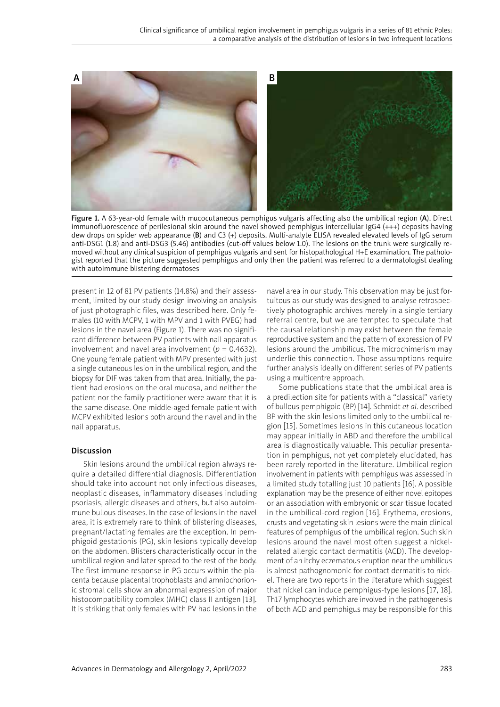

Figure 1. A 63-year-old female with mucocutaneous pemphigus vulgaris affecting also the umbilical region (A). Direct immunofluorescence of perilesional skin around the navel showed pemphigus intercellular IgG4 (+++) deposits having dew drops on spider web appearance (B) and C3 (+) deposits. Multi-analyte ELISA revealed elevated levels of IgG serum anti-DSG1 (1.8) and anti-DSG3 (5.46) antibodies (cut-off values below 1.0). The lesions on the trunk were surgically removed without any clinical suspicion of pemphigus vulgaris and sent for histopathological H+E examination. The pathologist reported that the picture suggested pemphigus and only then the patient was referred to a dermatologist dealing with autoimmune blistering dermatoses

present in 12 of 81 PV patients (14.8%) and their assessment, limited by our study design involving an analysis of just photographic files, was described here. Only females (10 with MCPV, 1 with MPV and 1 with PVEG) had lesions in the navel area (Figure 1). There was no significant difference between PV patients with nail apparatus involvement and navel area involvement ( $p = 0.4632$ ). One young female patient with MPV presented with just a single cutaneous lesion in the umbilical region, and the biopsy for DIF was taken from that area. Initially, the patient had erosions on the oral mucosa, and neither the patient nor the family practitioner were aware that it is the same disease. One middle-aged female patient with MCPV exhibited lesions both around the navel and in the nail apparatus.

#### Discussion

Skin lesions around the umbilical region always require a detailed differential diagnosis. Differentiation should take into account not only infectious diseases, neoplastic diseases, inflammatory diseases including psoriasis, allergic diseases and others, but also autoimmune bullous diseases. In the case of lesions in the navel area, it is extremely rare to think of blistering diseases, pregnant/lactating females are the exception. In pemphigoid gestationis (PG), skin lesions typically develop on the abdomen. Blisters characteristically occur in the umbilical region and later spread to the rest of the body. The first immune response in PG occurs within the placenta because placental trophoblasts and amniochorionic stromal cells show an abnormal expression of major histocompatibility complex (MHC) class II antigen [13]. It is striking that only females with PV had lesions in the navel area in our study. This observation may be just fortuitous as our study was designed to analyse retrospectively photographic archives merely in a single tertiary referral centre, but we are tempted to speculate that the causal relationship may exist between the female reproductive system and the pattern of expression of PV lesions around the umbilicus. The microchimerism may underlie this connection. Those assumptions require further analysis ideally on different series of PV patients using a multicentre approach.

Some publications state that the umbilical area is a predilection site for patients with a "classical" variety of bullous pemphigoid (BP) [14]. Schmidt *et al*. described BP with the skin lesions limited only to the umbilical region [15]. Sometimes lesions in this cutaneous location may appear initially in ABD and therefore the umbilical area is diagnostically valuable. This peculiar presentation in pemphigus, not yet completely elucidated, has been rarely reported in the literature. Umbilical region involvement in patients with pemphigus was assessed in a limited study totalling just 10 patients [16]. A possible explanation may be the presence of either novel epitopes or an association with embryonic or scar tissue located in the umbilical-cord region [16]. Erythema, erosions, crusts and vegetating skin lesions were the main clinical features of pemphigus of the umbilical region. Such skin lesions around the navel most often suggest a nickelrelated allergic contact dermatitis (ACD). The development of an itchy eczematous eruption near the umbilicus is almost pathognomonic for contact dermatitis to nickel. There are two reports in the literature which suggest that nickel can induce pemphigus-type lesions [17, 18]. Th17 lymphocytes which are involved in the pathogenesis of both ACD and pemphigus may be responsible for this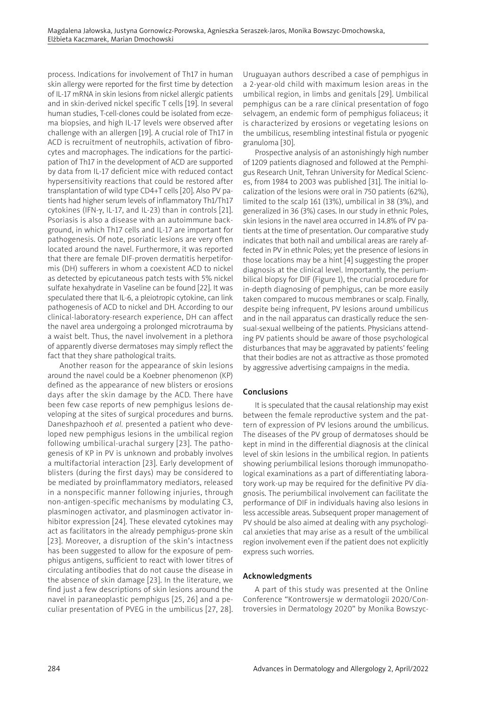process. Indications for involvement of Th17 in human skin allergy were reported for the first time by detection of IL-17 mRNA in skin lesions from nickel allergic patients and in skin-derived nickel specific T cells [19]. In several human studies, T-cell-clones could be isolated from eczema biopsies, and high IL-17 levels were observed after challenge with an allergen [19]. A crucial role of Th17 in ACD is recruitment of neutrophils, activation of fibrocytes and macrophages. The indications for the participation of Th17 in the development of ACD are supported by data from IL-17 deficient mice with reduced contact hypersensitivity reactions that could be restored after transplantation of wild type CD4+T cells [20]. Also PV patients had higher serum levels of inflammatory Th1/Th17 cytokines (IFN-g, IL-17, and IL-23) than in controls [21]. Psoriasis is also a disease with an autoimmune background, in which Th17 cells and IL-17 are important for pathogenesis. Of note, psoriatic lesions are very often located around the navel. Furthermore, it was reported that there are female DIF-proven dermatitis herpetiformis (DH) sufferers in whom a coexistent ACD to nickel as detected by epicutaneous patch tests with 5% nickel sulfate hexahydrate in Vaseline can be found [22]. It was speculated there that IL-6, a pleiotropic cytokine, can link pathogenesis of ACD to nickel and DH. According to our clinical-laboratory-research experience, DH can affect the navel area undergoing a prolonged microtrauma by a waist belt. Thus, the navel involvement in a plethora of apparently diverse dermatoses may simply reflect the fact that they share pathological traits.

Another reason for the appearance of skin lesions around the navel could be a Koebner phenomenon (KP) defined as the appearance of new blisters or erosions days after the skin damage by the ACD. There have been few case reports of new pemphigus lesions developing at the sites of surgical procedures and burns. Daneshpazhooh *et al.* presented a patient who developed new pemphigus lesions in the umbilical region following umbilical-urachal surgery [23]. The pathogenesis of KP in PV is unknown and probably involves a multifactorial interaction [23]. Early development of blisters (during the first days) may be considered to be mediated by proinflammatory mediators, released in a nonspecific manner following injuries, through non-antigen-specific mechanisms by modulating C3, plasminogen activator, and plasminogen activator inhibitor expression [24]. These elevated cytokines may act as facilitators in the already pemphigus-prone skin [23]. Moreover, a disruption of the skin's intactness has been suggested to allow for the exposure of pemphigus antigens, sufficient to react with lower titres of circulating antibodies that do not cause the disease in the absence of skin damage [23]. In the literature, we find just a few descriptions of skin lesions around the navel in paraneoplastic pemphigus [25, 26] and a peculiar presentation of PVEG in the umbilicus [27, 28].

Uruguayan authors described a case of pemphigus in a 2-year-old child with maximum lesion areas in the umbilical region, in limbs and genitals [29]. Umbilical pemphigus can be a rare clinical presentation of fogo selvagem, an endemic form of pemphigus foliaceus; it is characterized by erosions or vegetating lesions on the umbilicus, resembling intestinal fistula or pyogenic granuloma [30].

Prospective analysis of an astonishingly high number of 1209 patients diagnosed and followed at the Pemphigus Research Unit, Tehran University for Medical Sciences, from 1984 to 2003 was published [31]. The initial localization of the lesions were oral in 750 patients (62%), limited to the scalp 161 (13%), umbilical in 38 (3%), and generalized in 36 (3%) cases. In our study in ethnic Poles, skin lesions in the navel area occurred in 14.8% of PV patients at the time of presentation. Our comparative study indicates that both nail and umbilical areas are rarely affected in PV in ethnic Poles; yet the presence of lesions in those locations may be a hint [4] suggesting the proper diagnosis at the clinical level. Importantly, the periumbilical biopsy for DIF (Figure 1), the crucial procedure for in-depth diagnosing of pemphigus, can be more easily taken compared to mucous membranes or scalp. Finally, despite being infrequent, PV lesions around umbilicus and in the nail apparatus can drastically reduce the sensual-sexual wellbeing of the patients. Physicians attending PV patients should be aware of those psychological disturbances that may be aggravated by patients' feeling that their bodies are not as attractive as those promoted by aggressive advertising campaigns in the media.

# Conclusions

It is speculated that the causal relationship may exist between the female reproductive system and the pattern of expression of PV lesions around the umbilicus. The diseases of the PV group of dermatoses should be kept in mind in the differential diagnosis at the clinical level of skin lesions in the umbilical region. In patients showing periumbilical lesions thorough immunopathological examinations as a part of differentiating laboratory work-up may be required for the definitive PV diagnosis. The periumbilical involvement can facilitate the performance of DIF in individuals having also lesions in less accessible areas. Subsequent proper management of PV should be also aimed at dealing with any psychological anxieties that may arise as a result of the umbilical region involvement even if the patient does not explicitly express such worries.

# Acknowledgments

A part of this study was presented at the Online Conference "Kontrowersje w dermatologii 2020/Controversies in Dermatology 2020" by Monika Bowszyc